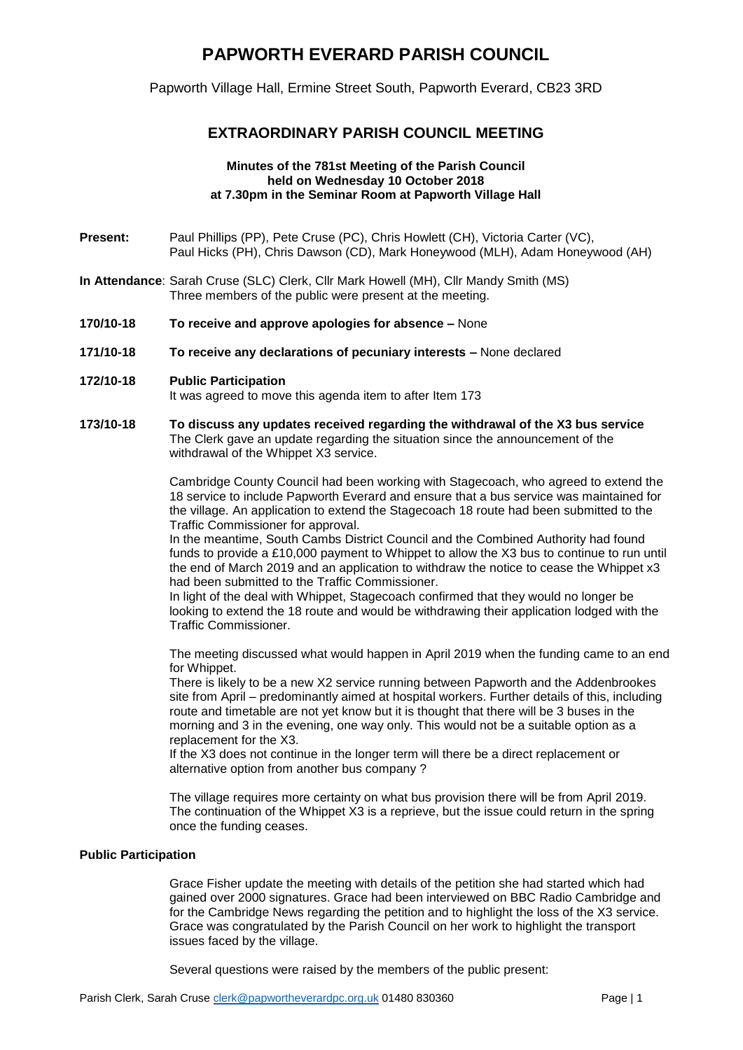# **PAPWORTH EVERARD PARISH COUNCIL**

Papworth Village Hall, Ermine Street South, Papworth Everard, CB23 3RD

# **EXTRAORDINARY PARISH COUNCIL MEETING**

#### **Minutes of the 781st Meeting of the Parish Council held on Wednesday 10 October 2018 at 7.30pm in the Seminar Room at Papworth Village Hall**

- Present: Paul Phillips (PP), Pete Cruse (PC), Chris Howlett (CH), Victoria Carter (VC), Paul Hicks (PH), Chris Dawson (CD), Mark Honeywood (MLH), Adam Honeywood (AH)
- **In Attendance**: Sarah Cruse (SLC) Clerk, Cllr Mark Howell (MH), Cllr Mandy Smith (MS) Three members of the public were present at the meeting.
- **170/10-18 To receive and approve apologies for absence –** None
- **171/10-18 To receive any declarations of pecuniary interests –** None declared
- **172/10-18 Public Participation**

It was agreed to move this agenda item to after Item 173

**173/10-18 To discuss any updates received regarding the withdrawal of the X3 bus service** The Clerk gave an update regarding the situation since the announcement of the withdrawal of the Whippet X3 service.

> Cambridge County Council had been working with Stagecoach, who agreed to extend the 18 service to include Papworth Everard and ensure that a bus service was maintained for the village. An application to extend the Stagecoach 18 route had been submitted to the Traffic Commissioner for approval.

> In the meantime, South Cambs District Council and the Combined Authority had found funds to provide a £10,000 payment to Whippet to allow the X3 bus to continue to run until the end of March 2019 and an application to withdraw the notice to cease the Whippet x3 had been submitted to the Traffic Commissioner.

In light of the deal with Whippet, Stagecoach confirmed that they would no longer be looking to extend the 18 route and would be withdrawing their application lodged with the Traffic Commissioner.

The meeting discussed what would happen in April 2019 when the funding came to an end for Whippet.

There is likely to be a new X2 service running between Papworth and the Addenbrookes site from April – predominantly aimed at hospital workers. Further details of this, including route and timetable are not yet know but it is thought that there will be 3 buses in the morning and 3 in the evening, one way only. This would not be a suitable option as a replacement for the X3.

If the X3 does not continue in the longer term will there be a direct replacement or alternative option from another bus company ?

The village requires more certainty on what bus provision there will be from April 2019. The continuation of the Whippet X3 is a reprieve, but the issue could return in the spring once the funding ceases.

## **Public Participation**

Grace Fisher update the meeting with details of the petition she had started which had gained over 2000 signatures. Grace had been interviewed on BBC Radio Cambridge and for the Cambridge News regarding the petition and to highlight the loss of the X3 service. Grace was congratulated by the Parish Council on her work to highlight the transport issues faced by the village.

Several questions were raised by the members of the public present: